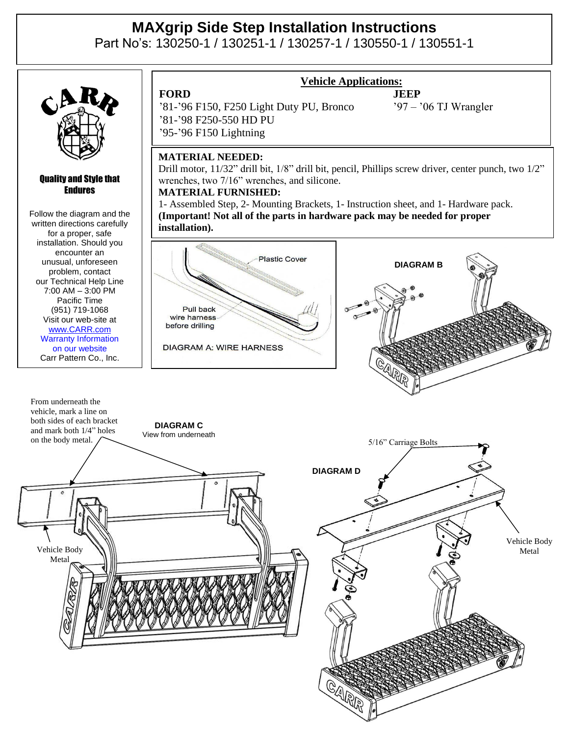## **MAXgrip Side Step Installation Instructions**

Part No's: 130250-1 / 130251-1 / 130257-1 / 130550-1 / 130551-1